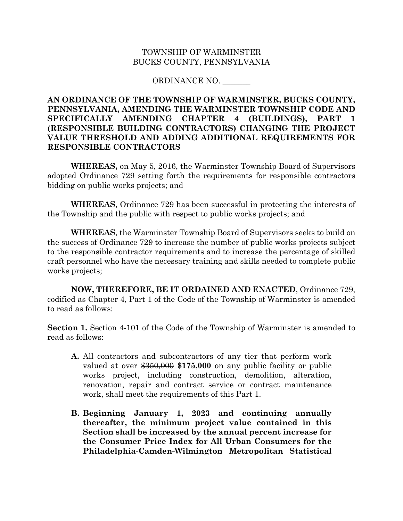## TOWNSHIP OF WARMINSTER BUCKS COUNTY, PENNSYLVANIA

## ORDINANCE NO. \_\_\_\_\_\_\_

## **AN ORDINANCE OF THE TOWNSHIP OF WARMINSTER, BUCKS COUNTY, PENNSYLVANIA, AMENDING THE WARMINSTER TOWNSHIP CODE AND SPECIFICALLY AMENDING CHAPTER 4 (BUILDINGS), PART 1 (RESPONSIBLE BUILDING CONTRACTORS) CHANGING THE PROJECT VALUE THRESHOLD AND ADDING ADDITIONAL REQUIREMENTS FOR RESPONSIBLE CONTRACTORS**

**WHEREAS,** on May 5, 2016, the Warminster Township Board of Supervisors adopted Ordinance 729 setting forth the requirements for responsible contractors bidding on public works projects; and

**WHEREAS**, Ordinance 729 has been successful in protecting the interests of the Township and the public with respect to public works projects; and

**WHEREAS**, the Warminster Township Board of Supervisors seeks to build on the success of Ordinance 729 to increase the number of public works projects subject to the responsible contractor requirements and to increase the percentage of skilled craft personnel who have the necessary training and skills needed to complete public works projects;

**NOW, THEREFORE, BE IT ORDAINED AND ENACTED**, Ordinance 729, codified as Chapter 4, Part 1 of the Code of the Township of Warminster is amended to read as follows:

**Section 1.** Section 4-101 of the Code of the Township of Warminster is amended to read as follows:

- **A.** All contractors and subcontractors of any tier that perform work valued at over \$350,000 **\$175,000** on any public facility or public works project, including construction, demolition, alteration, renovation, repair and contract service or contract maintenance work, shall meet the requirements of this Part 1.
- **B. Beginning January 1, 2023 and continuing annually thereafter, the minimum project value contained in this Section shall be increased by the annual percent increase for the Consumer Price Index for All Urban Consumers for the Philadelphia-Camden-Wilmington Metropolitan Statistical**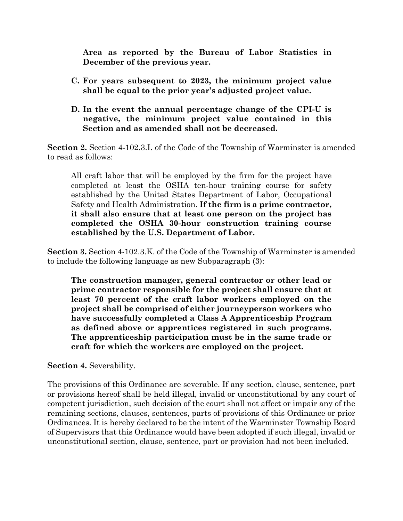**Area as reported by the Bureau of Labor Statistics in December of the previous year.** 

- **C. For years subsequent to 2023, the minimum project value shall be equal to the prior year's adjusted project value.**
- **D. In the event the annual percentage change of the CPI-U is negative, the minimum project value contained in this Section and as amended shall not be decreased.**

**Section 2.** Section 4-102.3.I. of the Code of the Township of Warminster is amended to read as follows:

All craft labor that will be employed by the firm for the project have completed at least the OSHA ten-hour training course for safety established by the United States Department of Labor, Occupational Safety and Health Administration. **If the firm is a prime contractor, it shall also ensure that at least one person on the project has completed the OSHA 30-hour construction training course established by the U.S. Department of Labor.** 

**Section 3.** Section 4-102.3.K. of the Code of the Township of Warminster is amended to include the following language as new Subparagraph (3):

**The construction manager, general contractor or other lead or prime contractor responsible for the project shall ensure that at least 70 percent of the craft labor workers employed on the project shall be comprised of either journeyperson workers who have successfully completed a Class A Apprenticeship Program as defined above or apprentices registered in such programs. The apprenticeship participation must be in the same trade or craft for which the workers are employed on the project.** 

**Section 4.** Severability.

The provisions of this Ordinance are severable. If any section, clause, sentence, part or provisions hereof shall be held illegal, invalid or unconstitutional by any court of competent jurisdiction, such decision of the court shall not affect or impair any of the remaining sections, clauses, sentences, parts of provisions of this Ordinance or prior Ordinances. It is hereby declared to be the intent of the Warminster Township Board of Supervisors that this Ordinance would have been adopted if such illegal, invalid or unconstitutional section, clause, sentence, part or provision had not been included.